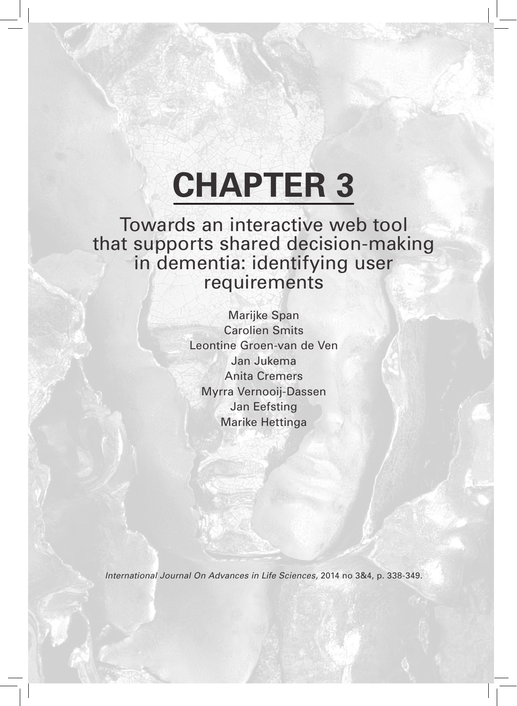# **CHAPTER 3**

Towards an interactive web tool that supports shared decision-making in dementia: identifying user requirements

> Marijke Span Carolien Smits Leontine Groen-van de Ven Jan Jukema Anita Cremers Myrra Vernooij-Dassen Jan Eefsting Marike Hettinga

*International Journal On Advances in Life Sciences*, 2014 no 3&4, p. 338-349.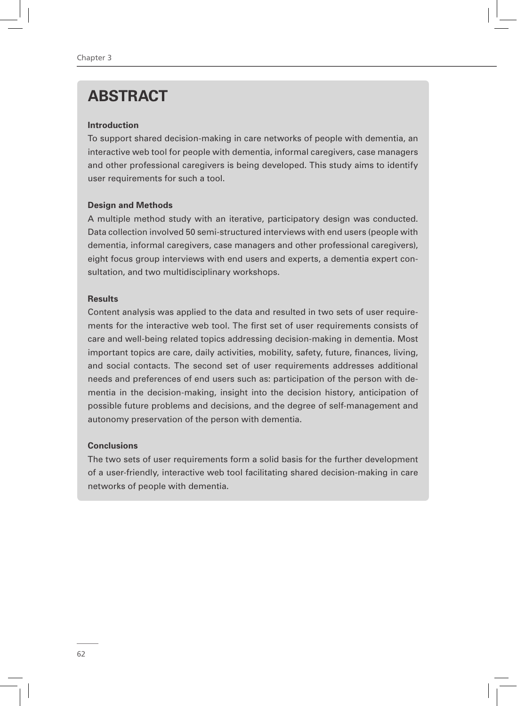# **ABSTRACT**

## **Introduction**

To support shared decision-making in care networks of people with dementia, an interactive web tool for people with dementia, informal caregivers, case managers and other professional caregivers is being developed. This study aims to identify user requirements for such a tool.

## **Design and Methods**

A multiple method study with an iterative, participatory design was conducted. Data collection involved 50 semi-structured interviews with end users (people with dementia, informal caregivers, case managers and other professional caregivers), eight focus group interviews with end users and experts, a dementia expert consultation, and two multidisciplinary workshops.

#### **Results**

Content analysis was applied to the data and resulted in two sets of user requirements for the interactive web tool. The first set of user requirements consists of care and well-being related topics addressing decision-making in dementia. Most important topics are care, daily activities, mobility, safety, future, finances, living, and social contacts. The second set of user requirements addresses additional needs and preferences of end users such as: participation of the person with dementia in the decision-making, insight into the decision history, anticipation of possible future problems and decisions, and the degree of self-management and autonomy preservation of the person with dementia.

#### **Conclusions**

The two sets of user requirements form a solid basis for the further development of a user-friendly, interactive web tool facilitating shared decision-making in care networks of people with dementia.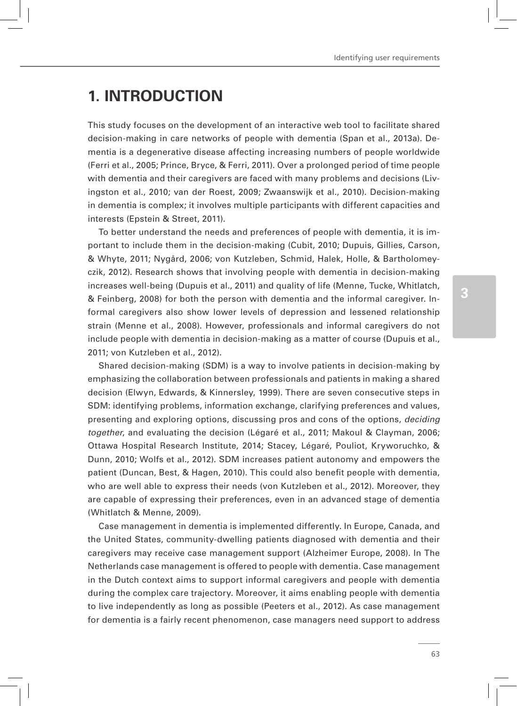# **1. INTRODUCTION**

This study focuses on the development of an interactive web tool to facilitate shared decision-making in care networks of people with dementia (Span et al., 2013a). Dementia is a degenerative disease affecting increasing numbers of people worldwide (Ferri et al., 2005; Prince, Bryce, & Ferri, 2011). Over a prolonged period of time people with dementia and their caregivers are faced with many problems and decisions (Livingston et al., 2010; van der Roest, 2009; Zwaanswijk et al., 2010). Decision-making in dementia is complex; it involves multiple participants with different capacities and interests (Epstein & Street, 2011).

To better understand the needs and preferences of people with dementia, it is important to include them in the decision-making (Cubit, 2010; Dupuis, Gillies, Carson, & Whyte, 2011; Nygård, 2006; von Kutzleben, Schmid, Halek, Holle, & Bartholomeyczik, 2012). Research shows that involving people with dementia in decision-making increases well-being (Dupuis et al., 2011) and quality of life (Menne, Tucke, Whitlatch, & Feinberg, 2008) for both the person with dementia and the informal caregiver. Informal caregivers also show lower levels of depression and lessened relationship strain (Menne et al., 2008). However, professionals and informal caregivers do not include people with dementia in decision-making as a matter of course (Dupuis et al., 2011; von Kutzleben et al., 2012).

Shared decision-making (SDM) is a way to involve patients in decision-making by emphasizing the collaboration between professionals and patients in making a shared decision (Elwyn, Edwards, & Kinnersley, 1999). There are seven consecutive steps in SDM: identifying problems, information exchange, clarifying preferences and values, presenting and exploring options, discussing pros and cons of the options, *deciding together*, and evaluating the decision (Légaré et al., 2011; Makoul & Clayman, 2006; Ottawa Hospital Research Institute, 2014; Stacey, Légaré, Pouliot, Kryworuchko, & Dunn, 2010; Wolfs et al., 2012). SDM increases patient autonomy and empowers the patient (Duncan, Best, & Hagen, 2010). This could also benefit people with dementia, who are well able to express their needs (von Kutzleben et al., 2012). Moreover, they are capable of expressing their preferences, even in an advanced stage of dementia (Whitlatch & Menne, 2009).

Case management in dementia is implemented differently. In Europe, Canada, and the United States, community-dwelling patients diagnosed with dementia and their caregivers may receive case management support (Alzheimer Europe, 2008). In The Netherlands case management is offered to people with dementia. Case management in the Dutch context aims to support informal caregivers and people with dementia during the complex care trajectory. Moreover, it aims enabling people with dementia to live independently as long as possible (Peeters et al., 2012). As case management for dementia is a fairly recent phenomenon, case managers need support to address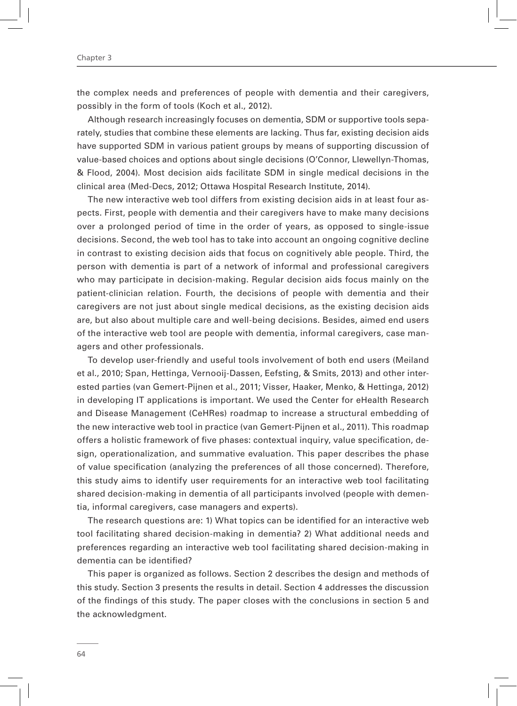the complex needs and preferences of people with dementia and their caregivers, possibly in the form of tools (Koch et al., 2012).

Although research increasingly focuses on dementia, SDM or supportive tools separately, studies that combine these elements are lacking. Thus far, existing decision aids have supported SDM in various patient groups by means of supporting discussion of value-based choices and options about single decisions (O'Connor, Llewellyn-Thomas, & Flood, 2004). Most decision aids facilitate SDM in single medical decisions in the clinical area (Med-Decs, 2012; Ottawa Hospital Research Institute, 2014).

The new interactive web tool differs from existing decision aids in at least four aspects. First, people with dementia and their caregivers have to make many decisions over a prolonged period of time in the order of years, as opposed to single-issue decisions. Second, the web tool has to take into account an ongoing cognitive decline in contrast to existing decision aids that focus on cognitively able people. Third, the person with dementia is part of a network of informal and professional caregivers who may participate in decision-making. Regular decision aids focus mainly on the patient-clinician relation. Fourth, the decisions of people with dementia and their caregivers are not just about single medical decisions, as the existing decision aids are, but also about multiple care and well-being decisions. Besides, aimed end users of the interactive web tool are people with dementia, informal caregivers, case managers and other professionals.

To develop user-friendly and useful tools involvement of both end users (Meiland et al., 2010; Span, Hettinga, Vernooij-Dassen, Eefsting, & Smits, 2013) and other interested parties (van Gemert-Pijnen et al., 2011; Visser, Haaker, Menko, & Hettinga, 2012) in developing IT applications is important. We used the Center for eHealth Research and Disease Management (CeHRes) roadmap to increase a structural embedding of the new interactive web tool in practice (van Gemert-Pijnen et al., 2011). This roadmap offers a holistic framework of five phases: contextual inquiry, value specification, design, operationalization, and summative evaluation. This paper describes the phase of value specification (analyzing the preferences of all those concerned). Therefore, this study aims to identify user requirements for an interactive web tool facilitating shared decision-making in dementia of all participants involved (people with dementia, informal caregivers, case managers and experts).

The research questions are: 1) What topics can be identified for an interactive web tool facilitating shared decision-making in dementia? 2) What additional needs and preferences regarding an interactive web tool facilitating shared decision-making in dementia can be identified?

This paper is organized as follows. Section 2 describes the design and methods of this study. Section 3 presents the results in detail. Section 4 addresses the discussion of the findings of this study. The paper closes with the conclusions in section 5 and the acknowledgment.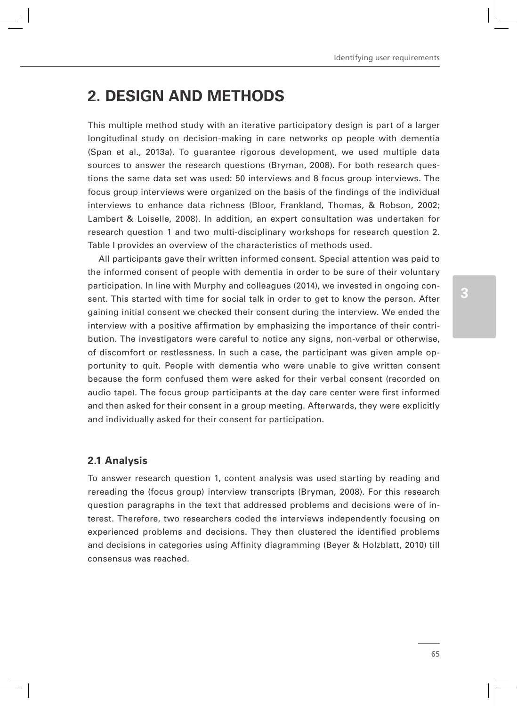## **2. DESIGN AND METHODS**

This multiple method study with an iterative participatory design is part of a larger longitudinal study on decision-making in care networks op people with dementia (Span et al., 2013a). To guarantee rigorous development, we used multiple data sources to answer the research questions (Bryman, 2008). For both research questions the same data set was used: 50 interviews and 8 focus group interviews. The focus group interviews were organized on the basis of the findings of the individual interviews to enhance data richness (Bloor, Frankland, Thomas, & Robson, 2002; Lambert & Loiselle, 2008). In addition, an expert consultation was undertaken for research question 1 and two multi-disciplinary workshops for research question 2. Table I provides an overview of the characteristics of methods used.

All participants gave their written informed consent. Special attention was paid to the informed consent of people with dementia in order to be sure of their voluntary participation. In line with Murphy and colleagues (2014), we invested in ongoing consent. This started with time for social talk in order to get to know the person. After gaining initial consent we checked their consent during the interview. We ended the interview with a positive affirmation by emphasizing the importance of their contribution. The investigators were careful to notice any signs, non-verbal or otherwise, of discomfort or restlessness. In such a case, the participant was given ample opportunity to quit. People with dementia who were unable to give written consent because the form confused them were asked for their verbal consent (recorded on audio tape). The focus group participants at the day care center were first informed and then asked for their consent in a group meeting. Afterwards, they were explicitly and individually asked for their consent for participation.

## **2.1 Analysis**

To answer research question 1, content analysis was used starting by reading and rereading the (focus group) interview transcripts (Bryman, 2008). For this research question paragraphs in the text that addressed problems and decisions were of interest. Therefore, two researchers coded the interviews independently focusing on experienced problems and decisions. They then clustered the identified problems and decisions in categories using Affinity diagramming (Beyer & Holzblatt, 2010) till consensus was reached.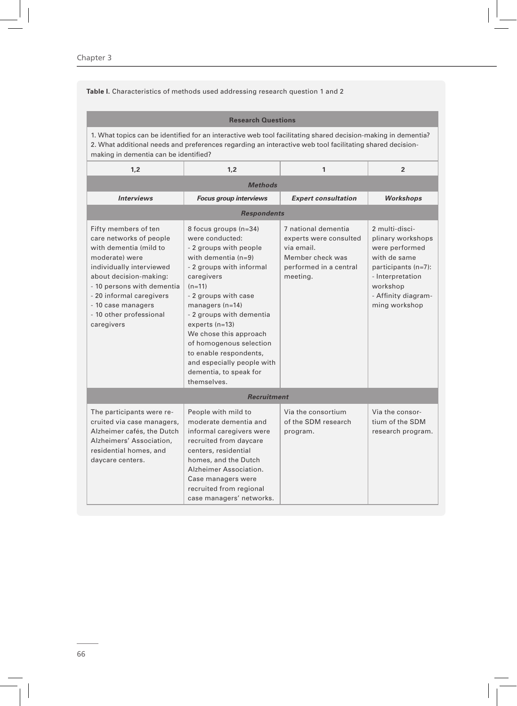Chapter 3

Table I. Characteristics of methods used addressing research question 1 and 2

|  |  |  |  | <b>Research Questions</b> |  |  |  |  |  |  |
|--|--|--|--|---------------------------|--|--|--|--|--|--|
|--|--|--|--|---------------------------|--|--|--|--|--|--|

1. What topics can be identified for an interactive web tool facilitating shared decision-making in dementia? 2. What additional needs and preferences regarding an interactive web tool facilitating shared decisionmaking in dementia can be identified?

| 1,2                                                                                                                                                                                                                                                                        | 1.2                                                                                                                                                                                                                                                                                                                                                                                                | 1                                                                                                                     | $\mathfrak{p}$                                                                                                                                                       |
|----------------------------------------------------------------------------------------------------------------------------------------------------------------------------------------------------------------------------------------------------------------------------|----------------------------------------------------------------------------------------------------------------------------------------------------------------------------------------------------------------------------------------------------------------------------------------------------------------------------------------------------------------------------------------------------|-----------------------------------------------------------------------------------------------------------------------|----------------------------------------------------------------------------------------------------------------------------------------------------------------------|
|                                                                                                                                                                                                                                                                            | <b>Methods</b>                                                                                                                                                                                                                                                                                                                                                                                     |                                                                                                                       |                                                                                                                                                                      |
| <b>Interviews</b>                                                                                                                                                                                                                                                          | <b>Focus group interviews</b>                                                                                                                                                                                                                                                                                                                                                                      | <b>Expert consultation</b>                                                                                            | <b>Workshops</b>                                                                                                                                                     |
|                                                                                                                                                                                                                                                                            | <b>Respondents</b>                                                                                                                                                                                                                                                                                                                                                                                 |                                                                                                                       |                                                                                                                                                                      |
| Fifty members of ten<br>care networks of people<br>with dementia (mild to<br>moderate) were<br>individually interviewed<br>about decision-making:<br>- 10 persons with dementia<br>- 20 informal caregivers<br>- 10 case managers<br>- 10 other professional<br>caregivers | 8 focus groups (n=34)<br>were conducted:<br>- 2 groups with people<br>with dementia $(n=9)$<br>- 2 groups with informal<br>caregivers<br>$(n=11)$<br>- 2 groups with case<br>managers (n=14)<br>- 2 groups with dementia<br>experts $(n=13)$<br>We chose this approach<br>of homogenous selection<br>to enable respondents,<br>and especially people with<br>dementia, to speak for<br>themselves. | 7 national dementia<br>experts were consulted<br>via email.<br>Member check was<br>performed in a central<br>meeting. | 2 multi-disci-<br>plinary workshops<br>were performed<br>with de same<br>participants (n=7):<br>- Interpretation<br>workshop<br>- Affinity diagram-<br>ming workshop |
|                                                                                                                                                                                                                                                                            | <b>Recruitment</b>                                                                                                                                                                                                                                                                                                                                                                                 |                                                                                                                       |                                                                                                                                                                      |
| The participants were re-<br>cruited via case managers,<br>Alzheimer cafés, the Dutch<br>Alzheimers' Association,<br>residential homes, and<br>daycare centers.                                                                                                            | People with mild to<br>moderate dementia and<br>informal caregivers were<br>recruited from daycare<br>centers, residential<br>homes, and the Dutch<br>Alzheimer Association.<br>Case managers were<br>recruited from regional<br>case managers' networks.                                                                                                                                          | Via the consortium<br>of the SDM research<br>program.                                                                 | Via the consor-<br>tium of the SDM<br>research program.                                                                                                              |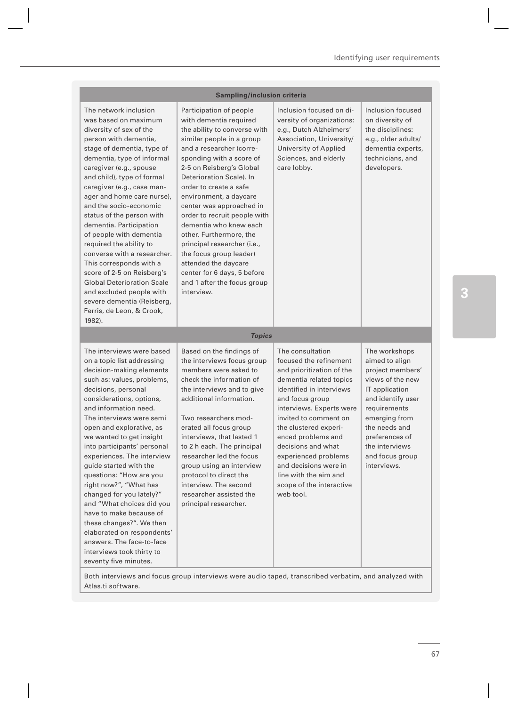|                                                                                                                                                                                                                                                                                                                                                                                                                                                                                                                                                                                                                                                                | Sampling/inclusion criteria                                                                                                                                                                                                                                                                                                                                                                                                                                                                                                                                       |                                                                                                                                                                                                                                                                                                                                                                                                |                                                                                                                                                                                                                                        |  |  |
|----------------------------------------------------------------------------------------------------------------------------------------------------------------------------------------------------------------------------------------------------------------------------------------------------------------------------------------------------------------------------------------------------------------------------------------------------------------------------------------------------------------------------------------------------------------------------------------------------------------------------------------------------------------|-------------------------------------------------------------------------------------------------------------------------------------------------------------------------------------------------------------------------------------------------------------------------------------------------------------------------------------------------------------------------------------------------------------------------------------------------------------------------------------------------------------------------------------------------------------------|------------------------------------------------------------------------------------------------------------------------------------------------------------------------------------------------------------------------------------------------------------------------------------------------------------------------------------------------------------------------------------------------|----------------------------------------------------------------------------------------------------------------------------------------------------------------------------------------------------------------------------------------|--|--|
| The network inclusion<br>was based on maximum<br>diversity of sex of the<br>person with dementia,<br>stage of dementia, type of<br>dementia, type of informal<br>caregiver (e.g., spouse<br>and child), type of formal<br>caregiver (e.g., case man-<br>ager and home care nurse),<br>and the socio-economic<br>status of the person with<br>dementia. Participation<br>of people with dementia<br>required the ability to<br>converse with a researcher.<br>This corresponds with a<br>score of 2-5 on Reisberg's<br><b>Global Deterioration Scale</b><br>and excluded people with<br>severe dementia (Reisberg,<br>Ferris, de Leon, & Crook,<br>1982).       | Participation of people<br>with dementia required<br>the ability to converse with<br>similar people in a group<br>and a researcher (corre-<br>sponding with a score of<br>2-5 on Reisberg's Global<br>Deterioration Scale). In<br>order to create a safe<br>environment, a daycare<br>center was approached in<br>order to recruit people with<br>dementia who knew each<br>other. Furthermore, the<br>principal researcher (i.e.,<br>the focus group leader)<br>attended the daycare<br>center for 6 days, 5 before<br>and 1 after the focus group<br>interview. | Inclusion focused on di-<br>versity of organizations:<br>e.g., Dutch Alzheimers'<br>Association, University/<br>University of Applied<br>Sciences, and elderly<br>care lobby.                                                                                                                                                                                                                  | Inclusion focused<br>on diversity of<br>the disciplines:<br>e.g., older adults/<br>dementia experts,<br>technicians, and<br>developers.                                                                                                |  |  |
| <b>Topics</b>                                                                                                                                                                                                                                                                                                                                                                                                                                                                                                                                                                                                                                                  |                                                                                                                                                                                                                                                                                                                                                                                                                                                                                                                                                                   |                                                                                                                                                                                                                                                                                                                                                                                                |                                                                                                                                                                                                                                        |  |  |
| The interviews were based<br>on a topic list addressing<br>decision-making elements<br>such as: values, problems,<br>decisions, personal<br>considerations, options,<br>and information need.<br>The interviews were semi<br>open and explorative, as<br>we wanted to get insight<br>into participants' personal<br>experiences. The interview<br>guide started with the<br>questions: "How are you<br>right now?", "What has<br>changed for you lately?"<br>and "What choices did you<br>have to make because of<br>these changes?". We then<br>elaborated on respondents'<br>answers. The face-to-face<br>interviews took thirty to<br>seventy five minutes. | Based on the findings of<br>the interviews focus group<br>members were asked to<br>check the information of<br>the interviews and to give<br>additional information.<br>Two researchers mod-<br>erated all focus group<br>interviews, that lasted 1<br>to 2 h each. The principal<br>researcher led the focus<br>group using an interview<br>protocol to direct the<br>interview. The second<br>researcher assisted the<br>principal researcher.                                                                                                                  | The consultation<br>focused the refinement<br>and prioritization of the<br>dementia related topics<br>identified in interviews<br>and focus group<br>interviews. Experts were<br>invited to comment on<br>the clustered experi-<br>enced problems and<br>decisions and what<br>experienced problems<br>and decisions were in<br>line with the aim and<br>scope of the interactive<br>web tool. | The workshops<br>aimed to align<br>project members'<br>views of the new<br>IT application<br>and identify user<br>requirements<br>emerging from<br>the needs and<br>preferences of<br>the interviews<br>and focus group<br>interviews. |  |  |

Both interviews and focus group interviews were audio taped, transcribed verbatim, and analyzed with Atlas.ti software.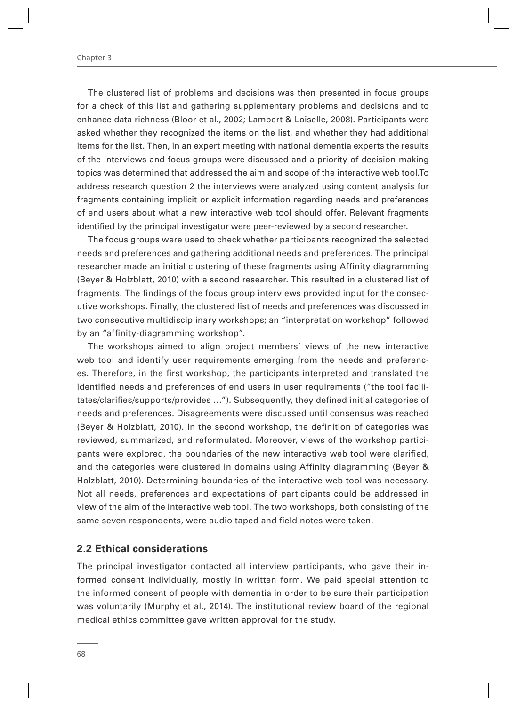The clustered list of problems and decisions was then presented in focus groups for a check of this list and gathering supplementary problems and decisions and to enhance data richness (Bloor et al., 2002; Lambert & Loiselle, 2008). Participants were asked whether they recognized the items on the list, and whether they had additional items for the list. Then, in an expert meeting with national dementia experts the results of the interviews and focus groups were discussed and a priority of decision-making topics was determined that addressed the aim and scope of the interactive web tool.To address research question 2 the interviews were analyzed using content analysis for fragments containing implicit or explicit information regarding needs and preferences of end users about what a new interactive web tool should offer. Relevant fragments identified by the principal investigator were peer-reviewed by a second researcher.

The focus groups were used to check whether participants recognized the selected needs and preferences and gathering additional needs and preferences. The principal researcher made an initial clustering of these fragments using Affinity diagramming (Beyer & Holzblatt, 2010) with a second researcher. This resulted in a clustered list of fragments. The findings of the focus group interviews provided input for the consecutive workshops. Finally, the clustered list of needs and preferences was discussed in two consecutive multidisciplinary workshops; an "interpretation workshop" followed by an "affinity-diagramming workshop".

The workshops aimed to align project members' views of the new interactive web tool and identify user requirements emerging from the needs and preferences. Therefore, in the first workshop, the participants interpreted and translated the identified needs and preferences of end users in user requirements ("the tool facilitates/clarifies/supports/provides …"). Subsequently, they defined initial categories of needs and preferences. Disagreements were discussed until consensus was reached (Beyer & Holzblatt, 2010). In the second workshop, the definition of categories was reviewed, summarized, and reformulated. Moreover, views of the workshop participants were explored, the boundaries of the new interactive web tool were clarified, and the categories were clustered in domains using Affinity diagramming (Beyer & Holzblatt, 2010). Determining boundaries of the interactive web tool was necessary. Not all needs, preferences and expectations of participants could be addressed in view of the aim of the interactive web tool. The two workshops, both consisting of the same seven respondents, were audio taped and field notes were taken.

## **2.2 Ethical considerations**

The principal investigator contacted all interview participants, who gave their informed consent individually, mostly in written form. We paid special attention to the informed consent of people with dementia in order to be sure their participation was voluntarily (Murphy et al., 2014). The institutional review board of the regional medical ethics committee gave written approval for the study.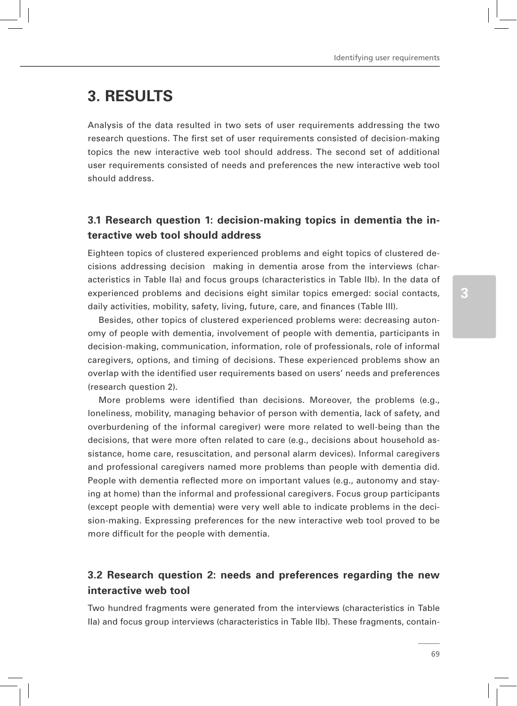# **3. RESULTS**

Analysis of the data resulted in two sets of user requirements addressing the two research questions. The first set of user requirements consisted of decision-making topics the new interactive web tool should address. The second set of additional user requirements consisted of needs and preferences the new interactive web tool should address.

## **3.1 Research question 1: decision-making topics in dementia the interactive web tool should address**

Eighteen topics of clustered experienced problems and eight topics of clustered decisions addressing decision making in dementia arose from the interviews (characteristics in Table IIa) and focus groups (characteristics in Table IIb). In the data of experienced problems and decisions eight similar topics emerged: social contacts, daily activities, mobility, safety, living, future, care, and finances (Table III).

Besides, other topics of clustered experienced problems were: decreasing autonomy of people with dementia, involvement of people with dementia, participants in decision-making, communication, information, role of professionals, role of informal caregivers, options, and timing of decisions. These experienced problems show an overlap with the identified user requirements based on users' needs and preferences (research question 2).

More problems were identified than decisions. Moreover, the problems (e.g., loneliness, mobility, managing behavior of person with dementia, lack of safety, and overburdening of the informal caregiver) were more related to well-being than the decisions, that were more often related to care (e.g., decisions about household assistance, home care, resuscitation, and personal alarm devices). Informal caregivers and professional caregivers named more problems than people with dementia did. People with dementia reflected more on important values (e.g., autonomy and staying at home) than the informal and professional caregivers. Focus group participants (except people with dementia) were very well able to indicate problems in the decision-making. Expressing preferences for the new interactive web tool proved to be more difficult for the people with dementia.

## **3.2 Research question 2: needs and preferences regarding the new interactive web tool**

Two hundred fragments were generated from the interviews (characteristics in Table IIa) and focus group interviews (characteristics in Table IIb). These fragments, contain-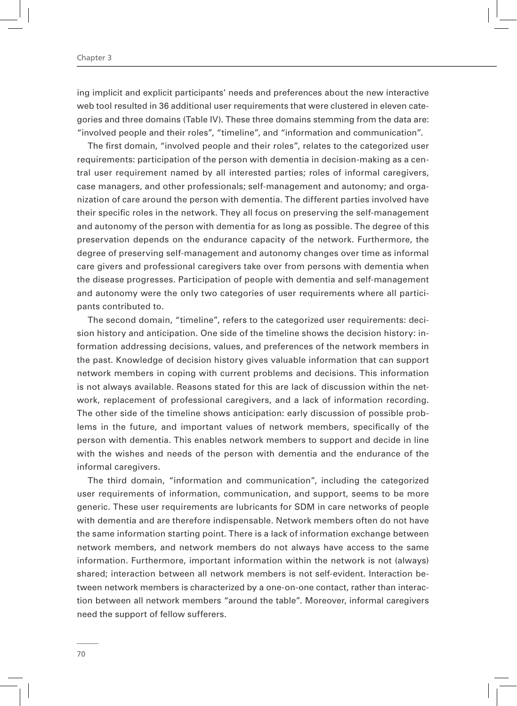ing implicit and explicit participants' needs and preferences about the new interactive web tool resulted in 36 additional user requirements that were clustered in eleven categories and three domains (Table IV). These three domains stemming from the data are: "involved people and their roles", "timeline", and "information and communication".

The first domain, "involved people and their roles", relates to the categorized user requirements: participation of the person with dementia in decision-making as a central user requirement named by all interested parties; roles of informal caregivers, case managers, and other professionals; self-management and autonomy; and organization of care around the person with dementia. The different parties involved have their specific roles in the network. They all focus on preserving the self-management and autonomy of the person with dementia for as long as possible. The degree of this preservation depends on the endurance capacity of the network. Furthermore, the degree of preserving self-management and autonomy changes over time as informal care givers and professional caregivers take over from persons with dementia when the disease progresses. Participation of people with dementia and self-management and autonomy were the only two categories of user requirements where all participants contributed to.

The second domain, "timeline", refers to the categorized user requirements: decision history and anticipation. One side of the timeline shows the decision history: information addressing decisions, values, and preferences of the network members in the past. Knowledge of decision history gives valuable information that can support network members in coping with current problems and decisions. This information is not always available. Reasons stated for this are lack of discussion within the network, replacement of professional caregivers, and a lack of information recording. The other side of the timeline shows anticipation: early discussion of possible problems in the future, and important values of network members, specifically of the person with dementia. This enables network members to support and decide in line with the wishes and needs of the person with dementia and the endurance of the informal caregivers.

The third domain, "information and communication", including the categorized user requirements of information, communication, and support, seems to be more generic. These user requirements are lubricants for SDM in care networks of people with dementia and are therefore indispensable. Network members often do not have the same information starting point. There is a lack of information exchange between network members, and network members do not always have access to the same information. Furthermore, important information within the network is not (always) shared; interaction between all network members is not self-evident. Interaction between network members is characterized by a one-on-one contact, rather than interaction between all network members "around the table". Moreover, informal caregivers need the support of fellow sufferers.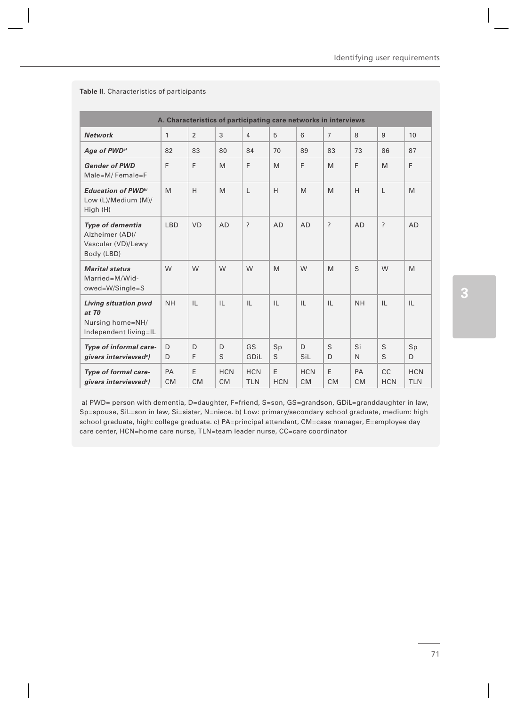| A. Characteristics of participating care networks in interviews                |                 |                |                         |                          |                 |                         |                          |                 |                          |                          |
|--------------------------------------------------------------------------------|-----------------|----------------|-------------------------|--------------------------|-----------------|-------------------------|--------------------------|-----------------|--------------------------|--------------------------|
| <b>Network</b>                                                                 | 1               | $\overline{2}$ | 3                       | $\overline{4}$           | 5               | 6                       | $\overline{7}$           | 8               | 9                        | 10                       |
| Age of PWD <sup>a)</sup>                                                       | 82              | 83             | 80                      | 84                       | 70              | 89                      | 83                       | 73              | 86                       | 87                       |
| <b>Gender of PWD</b><br>Male=M/Female=F                                        | F               | F              | M                       | F                        | M               | F                       | M                        | F               | M                        | F                        |
| <b>Education of PWDb)</b><br>Low (L)/Medium (M)/<br>High (H)                   | M               | H              | M                       | L                        | H               | M                       | M                        | H               | L                        | M                        |
| <b>Type of dementia</b><br>Alzheimer (AD)/<br>Vascular (VD)/Lewy<br>Body (LBD) | <b>LBD</b>      | <b>VD</b>      | <b>AD</b>               | $\overline{\phantom{a}}$ | <b>AD</b>       | <b>AD</b>               | $\overline{\phantom{a}}$ | <b>AD</b>       | $\overline{\phantom{a}}$ | AD                       |
| <b>Marital status</b><br>Married=M/Wid-<br>owed=W/Single=S                     | W               | W              | W                       | W                        | M               | W                       | M                        | S               | W                        | M                        |
| Living situation pwd<br>at TO<br>Nursing home=NH/<br>Independent living=IL     | <b>NH</b>       | IL             | IL                      | IL                       | IL              | IL                      | IL                       | <b>NH</b>       | IL                       | IL                       |
| Type of informal care-<br>givers interviewed <sup>a</sup> )                    | D<br>D          | D<br>F         | D<br>S                  | GS<br>GDiL               | Sp<br>S         | D<br>SiL                | S<br>D                   | Si<br>N         | S<br>S                   | Sp<br>D                  |
| Type of formal care-<br>givers interviewed <sup>c</sup> )                      | PA<br><b>CM</b> | E<br><b>CM</b> | <b>HCN</b><br><b>CM</b> | <b>HCN</b><br><b>TLN</b> | E<br><b>HCN</b> | <b>HCN</b><br><b>CM</b> | E<br><b>CM</b>           | PA<br><b>CM</b> | <b>CC</b><br><b>HCN</b>  | <b>HCN</b><br><b>TLN</b> |

#### **Table II.** Characteristics of participants

a) PWD= person with dementia, D=daughter, F=friend, S=son, GS=grandson, GDiL=granddaughter in law, Sp=spouse, SiL=son in law, Si=sister, N=niece. b) Low: primary/secondary school graduate, medium: high school graduate, high: college graduate. c) PA=principal attendant, CM=case manager, E=employee day care center, HCN=home care nurse, TLN=team leader nurse, CC=care coordinator

**3**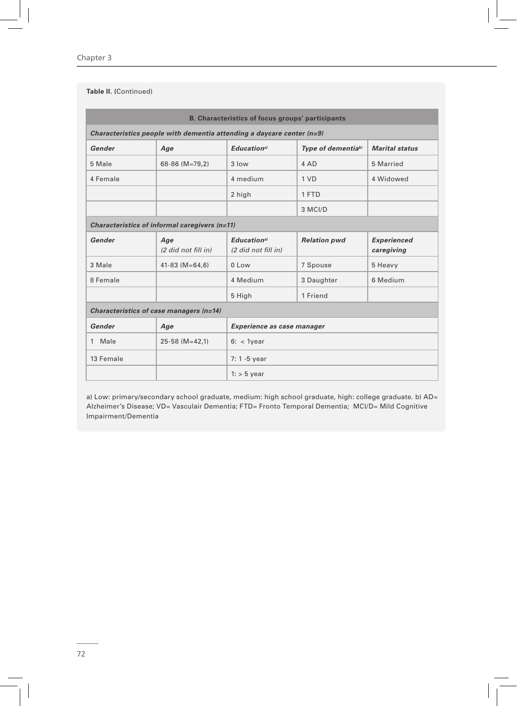Chapter 3

| Table II. (Continued) |                                                                         |                                                         |                     |                                  |
|-----------------------|-------------------------------------------------------------------------|---------------------------------------------------------|---------------------|----------------------------------|
|                       |                                                                         | <b>B. Characteristics of focus groups' participants</b> |                     |                                  |
|                       | Characteristics people with dementia attending a daycare center $(n=9)$ |                                                         |                     |                                  |
| Gender                | Age                                                                     | <b>Education</b> al                                     | Type of dementiab)  | <b>Marital status</b>            |
| 5 Male                | 68-86 (M=79,2)                                                          | $3$ low                                                 | 4 AD                | 5 Married                        |
| 4 Female              |                                                                         | 4 medium                                                | 1 VD                | 4 Widowed                        |
|                       |                                                                         | 2 high                                                  | 1 FTD               |                                  |
|                       |                                                                         |                                                         | 3 MCI/D             |                                  |
|                       | Characteristics of informal caregivers (n=11)                           |                                                         |                     |                                  |
| Gender                | Age<br>(2 did not fill in)                                              | <b>Educational</b><br>$(2 \text{ did not fill in})$     | <b>Relation pwd</b> | <b>Experienced</b><br>caregiving |
| 3 Male                | $41-83$ (M=64,6)                                                        | $0$ Low                                                 | 7 Spouse            | 5 Heavy                          |
| 8 Female              |                                                                         | 4 Medium                                                | 3 Daughter          | 6 Medium                         |
|                       |                                                                         | 5 High                                                  | 1 Friend            |                                  |
|                       | Characteristics of case managers (n=14)                                 |                                                         |                     |                                  |
| Gender                | Age                                                                     | Experience as case manager                              |                     |                                  |
| 1 Male                | $25-58$ (M=42,1)                                                        | $6: < 1$ year                                           |                     |                                  |
| 13 Female             |                                                                         | 7: 1 -5 year                                            |                     |                                  |
|                       |                                                                         | $1:$ > 5 year                                           |                     |                                  |

a) Low: primary/secondary school graduate, medium: high school graduate, high: college graduate. b) AD= Alzheimer's Disease; VD= Vasculair Dementia; FTD= Fronto Temporal Dementia; MCI/D= Mild Cognitive Impairment/Dementia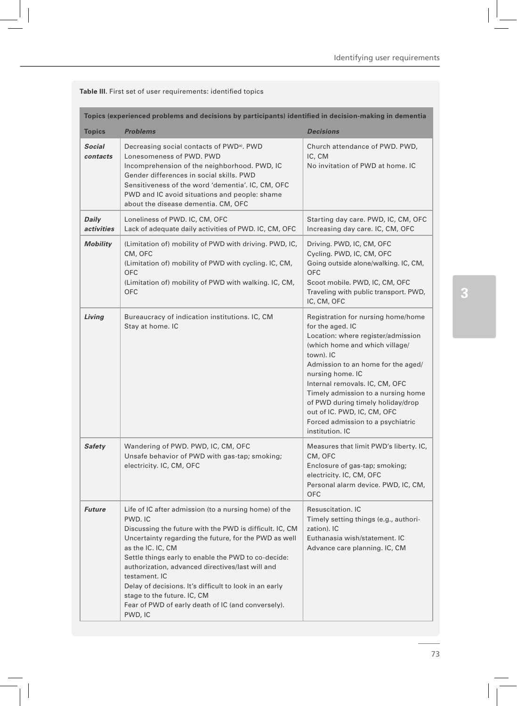|                           | Topics (experienced problems and decisions by participants) identified in decision-making in dementia                                                                                                                                                                                                                                                                                                                                                                                           |                                                                                                                                                                                                                                                                                                                                                                                                           |
|---------------------------|-------------------------------------------------------------------------------------------------------------------------------------------------------------------------------------------------------------------------------------------------------------------------------------------------------------------------------------------------------------------------------------------------------------------------------------------------------------------------------------------------|-----------------------------------------------------------------------------------------------------------------------------------------------------------------------------------------------------------------------------------------------------------------------------------------------------------------------------------------------------------------------------------------------------------|
| <b>Topics</b>             | <b>Problems</b>                                                                                                                                                                                                                                                                                                                                                                                                                                                                                 | <b>Decisions</b>                                                                                                                                                                                                                                                                                                                                                                                          |
| <b>Social</b><br>contacts | Decreasing social contacts of PWD <sup>a)</sup> . PWD<br>Lonesomeness of PWD. PWD<br>Incomprehension of the neighborhood. PWD, IC<br>Gender differences in social skills, PWD<br>Sensitiveness of the word 'dementia'. IC, CM, OFC<br>PWD and IC avoid situations and people: shame<br>about the disease dementia. CM, OFC                                                                                                                                                                      | Church attendance of PWD. PWD,<br>IC, CM<br>No invitation of PWD at home. IC                                                                                                                                                                                                                                                                                                                              |
| Daily<br>activities       | Loneliness of PWD. IC, CM, OFC<br>Lack of adequate daily activities of PWD. IC, CM, OFC                                                                                                                                                                                                                                                                                                                                                                                                         | Starting day care. PWD, IC, CM, OFC<br>Increasing day care. IC, CM, OFC                                                                                                                                                                                                                                                                                                                                   |
| <b>Mobility</b>           | (Limitation of) mobility of PWD with driving. PWD, IC,<br>CM, OFC<br>(Limitation of) mobility of PWD with cycling. IC, CM,<br><b>OFC</b><br>(Limitation of) mobility of PWD with walking. IC, CM,<br><b>OFC</b>                                                                                                                                                                                                                                                                                 | Driving. PWD, IC, CM, OFC<br>Cycling. PWD, IC, CM, OFC<br>Going outside alone/walking. IC, CM,<br><b>OFC</b><br>Scoot mobile. PWD, IC, CM, OFC<br>Traveling with public transport. PWD,<br>IC, CM, OFC                                                                                                                                                                                                    |
| Living                    | Bureaucracy of indication institutions. IC, CM<br>Stay at home. IC                                                                                                                                                                                                                                                                                                                                                                                                                              | Registration for nursing home/home<br>for the aged. IC<br>Location: where register/admission<br>(which home and which village/<br>town). IC<br>Admission to an home for the aged/<br>nursing home. IC<br>Internal removals. IC, CM, OFC<br>Timely admission to a nursing home<br>of PWD during timely holiday/drop<br>out of IC. PWD, IC, CM, OFC<br>Forced admission to a psychiatric<br>institution. IC |
| <b>Safety</b>             | Wandering of PWD. PWD, IC, CM, OFC<br>Unsafe behavior of PWD with gas-tap; smoking;<br>electricity. IC, CM, OFC                                                                                                                                                                                                                                                                                                                                                                                 | Measures that limit PWD's liberty. IC,<br>CM, OFC<br>Enclosure of gas-tap; smoking;<br>electricity. IC, CM, OFC<br>Personal alarm device. PWD, IC, CM,<br><b>OFC</b>                                                                                                                                                                                                                                      |
| <b>Future</b>             | Life of IC after admission (to a nursing home) of the<br>PWD. IC<br>Discussing the future with the PWD is difficult. IC, CM<br>Uncertainty regarding the future, for the PWD as well<br>as the IC. IC, CM<br>Settle things early to enable the PWD to co-decide:<br>authorization, advanced directives/last will and<br>testament. IC<br>Delay of decisions. It's difficult to look in an early<br>stage to the future. IC, CM<br>Fear of PWD of early death of IC (and conversely).<br>PWD, IC | Resuscitation. IC<br>Timely setting things (e.g., authori-<br>zation). IC<br>Euthanasia wish/statement. IC<br>Advance care planning. IC, CM                                                                                                                                                                                                                                                               |

**Table III.** First set of user requirements: identified topics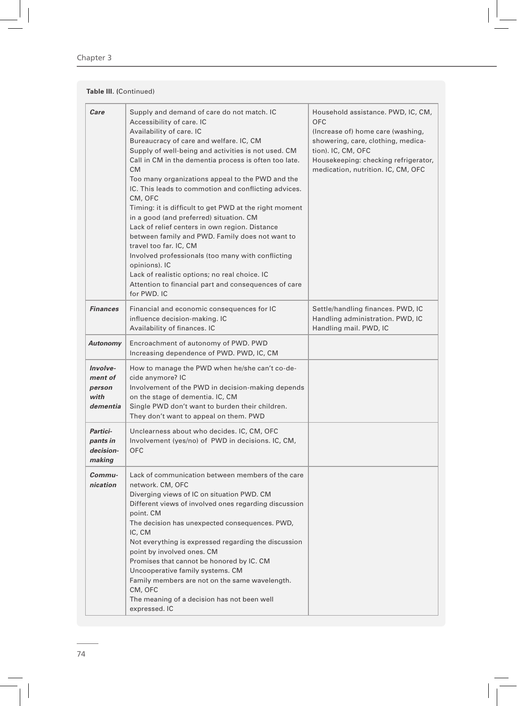## Chapter 3

| Table III. (Continued)                            |                                                                                                                                                                                                                                                                                                                                                                                                                                                                                                                                                                                                                                                                                                                                                                                                                                      |                                                                                                                                                                                                                                 |
|---------------------------------------------------|--------------------------------------------------------------------------------------------------------------------------------------------------------------------------------------------------------------------------------------------------------------------------------------------------------------------------------------------------------------------------------------------------------------------------------------------------------------------------------------------------------------------------------------------------------------------------------------------------------------------------------------------------------------------------------------------------------------------------------------------------------------------------------------------------------------------------------------|---------------------------------------------------------------------------------------------------------------------------------------------------------------------------------------------------------------------------------|
| Care                                              | Supply and demand of care do not match. IC<br>Accessibility of care. IC<br>Availability of care. IC<br>Bureaucracy of care and welfare. IC, CM<br>Supply of well-being and activities is not used. CM<br>Call in CM in the dementia process is often too late.<br><b>CM</b><br>Too many organizations appeal to the PWD and the<br>IC. This leads to commotion and conflicting advices.<br>CM, OFC<br>Timing: it is difficult to get PWD at the right moment<br>in a good (and preferred) situation. CM<br>Lack of relief centers in own region. Distance<br>between family and PWD. Family does not want to<br>travel too far. IC, CM<br>Involved professionals (too many with conflicting<br>opinions). IC<br>Lack of realistic options; no real choice. IC<br>Attention to financial part and consequences of care<br>for PWD. IC | Household assistance. PWD, IC, CM,<br><b>OFC</b><br>(Increase of) home care (washing,<br>showering, care, clothing, medica-<br>tion). IC, CM, OFC<br>Housekeeping: checking refrigerator,<br>medication, nutrition. IC, CM, OFC |
| <b>Finances</b>                                   | Financial and economic consequences for IC<br>influence decision-making. IC<br>Availability of finances. IC                                                                                                                                                                                                                                                                                                                                                                                                                                                                                                                                                                                                                                                                                                                          | Settle/handling finances. PWD, IC<br>Handling administration. PWD, IC<br>Handling mail. PWD, IC                                                                                                                                 |
| Autonomy                                          | Encroachment of autonomy of PWD. PWD<br>Increasing dependence of PWD. PWD, IC, CM                                                                                                                                                                                                                                                                                                                                                                                                                                                                                                                                                                                                                                                                                                                                                    |                                                                                                                                                                                                                                 |
| Involve-<br>ment of<br>person<br>with<br>dementia | How to manage the PWD when he/she can't co-de-<br>cide anymore? IC<br>Involvement of the PWD in decision-making depends<br>on the stage of dementia. IC, CM<br>Single PWD don't want to burden their children.<br>They don't want to appeal on them. PWD                                                                                                                                                                                                                                                                                                                                                                                                                                                                                                                                                                             |                                                                                                                                                                                                                                 |
| Partici-<br>pants in<br>decision-<br>making       | Unclearness about who decides. IC, CM, OFC<br>Involvement (yes/no) of PWD in decisions. IC, CM,<br><b>OFC</b>                                                                                                                                                                                                                                                                                                                                                                                                                                                                                                                                                                                                                                                                                                                        |                                                                                                                                                                                                                                 |
| Commu-<br>nication                                | Lack of communication between members of the care<br>network. CM, OFC<br>Diverging views of IC on situation PWD. CM<br>Different views of involved ones regarding discussion<br>point. CM<br>The decision has unexpected consequences. PWD,<br>IC, CM<br>Not everything is expressed regarding the discussion<br>point by involved ones. CM<br>Promises that cannot be honored by IC. CM<br>Uncooperative family systems. CM<br>Family members are not on the same wavelength.<br>CM, OFC<br>The meaning of a decision has not been well<br>expressed. IC                                                                                                                                                                                                                                                                            |                                                                                                                                                                                                                                 |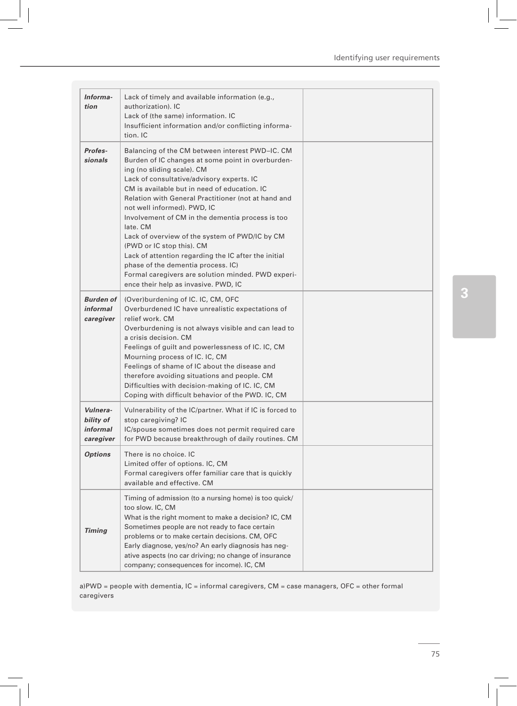| Informa-<br>tion                               | Lack of timely and available information (e.g.,<br>authorization). IC<br>Lack of (the same) information. IC<br>Insufficient information and/or conflicting informa-<br>tion. IC                                                                                                                                                                                                                                                                                                                                                                                                                                                                                  |  |
|------------------------------------------------|------------------------------------------------------------------------------------------------------------------------------------------------------------------------------------------------------------------------------------------------------------------------------------------------------------------------------------------------------------------------------------------------------------------------------------------------------------------------------------------------------------------------------------------------------------------------------------------------------------------------------------------------------------------|--|
| Profes-<br>sionals                             | Balancing of the CM between interest PWD-IC. CM<br>Burden of IC changes at some point in overburden-<br>ing (no sliding scale). CM<br>Lack of consultative/advisory experts. IC<br>CM is available but in need of education. IC<br>Relation with General Practitioner (not at hand and<br>not well informed). PWD, IC<br>Involvement of CM in the dementia process is too<br>late, CM<br>Lack of overview of the system of PWD/IC by CM<br>(PWD or IC stop this). CM<br>Lack of attention regarding the IC after the initial<br>phase of the dementia process. IC)<br>Formal caregivers are solution minded. PWD experi-<br>ence their help as invasive. PWD, IC |  |
| <b>Burden of</b><br>informal<br>caregiver      | (Over)burdening of IC. IC, CM, OFC<br>Overburdened IC have unrealistic expectations of<br>relief work. CM<br>Overburdening is not always visible and can lead to<br>a crisis decision. CM<br>Feelings of guilt and powerlessness of IC. IC, CM<br>Mourning process of IC. IC, CM<br>Feelings of shame of IC about the disease and<br>therefore avoiding situations and people. CM<br>Difficulties with decision-making of IC. IC, CM<br>Coping with difficult behavior of the PWD. IC, CM                                                                                                                                                                        |  |
| Vulnera-<br>bility of<br>informal<br>caregiver | Vulnerability of the IC/partner. What if IC is forced to<br>stop caregiving? IC<br>IC/spouse sometimes does not permit required care<br>for PWD because breakthrough of daily routines. CM                                                                                                                                                                                                                                                                                                                                                                                                                                                                       |  |
| <b>Options</b>                                 | There is no choice. IC<br>Limited offer of options. IC, CM<br>Formal caregivers offer familiar care that is quickly<br>available and effective. CM                                                                                                                                                                                                                                                                                                                                                                                                                                                                                                               |  |
| <b>Timing</b>                                  | Timing of admission (to a nursing home) is too quick/<br>too slow. IC, CM<br>What is the right moment to make a decision? IC, CM<br>Sometimes people are not ready to face certain<br>problems or to make certain decisions. CM, OFC<br>Early diagnose, yes/no? An early diagnosis has neg-<br>ative aspects (no car driving; no change of insurance<br>company; consequences for income). IC, CM                                                                                                                                                                                                                                                                |  |

a)PWD = people with dementia,  $IC =$  informal caregivers,  $CM =$  case managers,  $OFC =$  other formal caregivers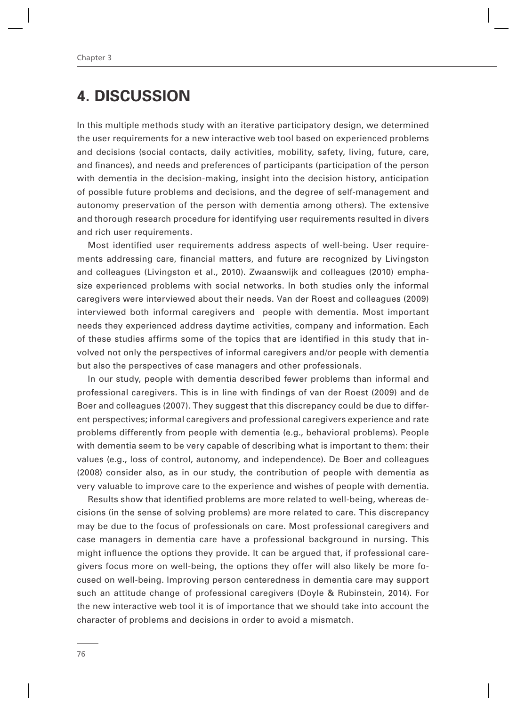#### Chapter 3

# **4. DISCUSSION**

In this multiple methods study with an iterative participatory design, we determined the user requirements for a new interactive web tool based on experienced problems and decisions (social contacts, daily activities, mobility, safety, living, future, care, and finances), and needs and preferences of participants (participation of the person with dementia in the decision-making, insight into the decision history, anticipation of possible future problems and decisions, and the degree of self-management and autonomy preservation of the person with dementia among others). The extensive and thorough research procedure for identifying user requirements resulted in divers and rich user requirements.

Most identified user requirements address aspects of well-being. User requirements addressing care, financial matters, and future are recognized by Livingston and colleagues (Livingston et al., 2010). Zwaanswijk and colleagues (2010) emphasize experienced problems with social networks. In both studies only the informal caregivers were interviewed about their needs. Van der Roest and colleagues (2009) interviewed both informal caregivers and people with dementia. Most important needs they experienced address daytime activities, company and information. Each of these studies affirms some of the topics that are identified in this study that involved not only the perspectives of informal caregivers and/or people with dementia but also the perspectives of case managers and other professionals.

In our study, people with dementia described fewer problems than informal and professional caregivers. This is in line with findings of van der Roest (2009) and de Boer and colleagues (2007). They suggest that this discrepancy could be due to different perspectives; informal caregivers and professional caregivers experience and rate problems differently from people with dementia (e.g., behavioral problems). People with dementia seem to be very capable of describing what is important to them: their values (e.g., loss of control, autonomy, and independence). De Boer and colleagues (2008) consider also, as in our study, the contribution of people with dementia as very valuable to improve care to the experience and wishes of people with dementia.

Results show that identified problems are more related to well-being, whereas decisions (in the sense of solving problems) are more related to care. This discrepancy may be due to the focus of professionals on care. Most professional caregivers and case managers in dementia care have a professional background in nursing. This might influence the options they provide. It can be argued that, if professional caregivers focus more on well-being, the options they offer will also likely be more focused on well-being. Improving person centeredness in dementia care may support such an attitude change of professional caregivers (Doyle & Rubinstein, 2014). For the new interactive web tool it is of importance that we should take into account the character of problems and decisions in order to avoid a mismatch.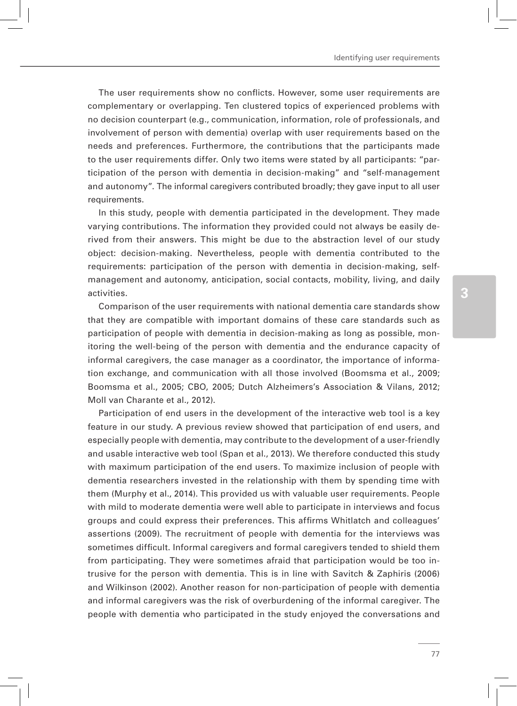The user requirements show no conflicts. However, some user requirements are complementary or overlapping. Ten clustered topics of experienced problems with no decision counterpart (e.g., communication, information, role of professionals, and involvement of person with dementia) overlap with user requirements based on the needs and preferences. Furthermore, the contributions that the participants made to the user requirements differ. Only two items were stated by all participants: "participation of the person with dementia in decision-making" and "self-management and autonomy". The informal caregivers contributed broadly; they gave input to all user requirements.

In this study, people with dementia participated in the development. They made varying contributions. The information they provided could not always be easily derived from their answers. This might be due to the abstraction level of our study object: decision-making. Nevertheless, people with dementia contributed to the requirements: participation of the person with dementia in decision-making, selfmanagement and autonomy, anticipation, social contacts, mobility, living, and daily activities.

Comparison of the user requirements with national dementia care standards show that they are compatible with important domains of these care standards such as participation of people with dementia in decision-making as long as possible, monitoring the well-being of the person with dementia and the endurance capacity of informal caregivers, the case manager as a coordinator, the importance of information exchange, and communication with all those involved (Boomsma et al., 2009; Boomsma et al., 2005; CBO, 2005; Dutch Alzheimers's Association & Vilans, 2012; Moll van Charante et al., 2012).

Participation of end users in the development of the interactive web tool is a key feature in our study. A previous review showed that participation of end users, and especially people with dementia, may contribute to the development of a user-friendly and usable interactive web tool (Span et al., 2013). We therefore conducted this study with maximum participation of the end users. To maximize inclusion of people with dementia researchers invested in the relationship with them by spending time with them (Murphy et al., 2014). This provided us with valuable user requirements. People with mild to moderate dementia were well able to participate in interviews and focus groups and could express their preferences. This affirms Whitlatch and colleagues' assertions (2009). The recruitment of people with dementia for the interviews was sometimes difficult. Informal caregivers and formal caregivers tended to shield them from participating. They were sometimes afraid that participation would be too intrusive for the person with dementia. This is in line with Savitch & Zaphiris (2006) and Wilkinson (2002). Another reason for non-participation of people with dementia and informal caregivers was the risk of overburdening of the informal caregiver. The people with dementia who participated in the study enjoyed the conversations and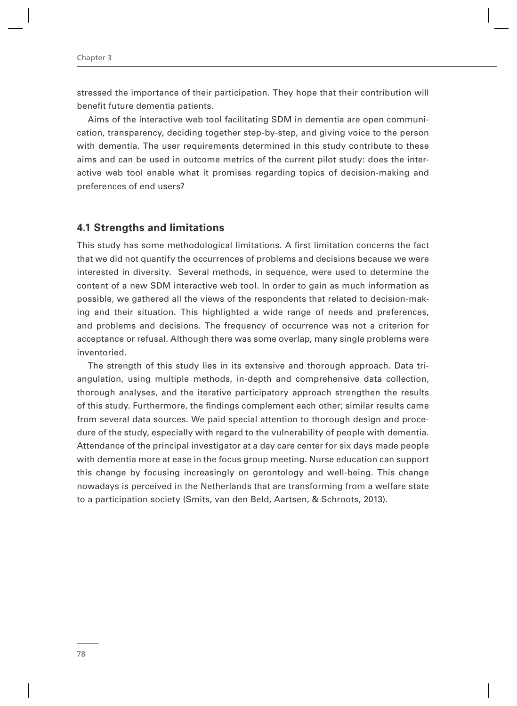stressed the importance of their participation. They hope that their contribution will benefit future dementia patients.

Aims of the interactive web tool facilitating SDM in dementia are open communication, transparency, deciding together step-by-step, and giving voice to the person with dementia. The user requirements determined in this study contribute to these aims and can be used in outcome metrics of the current pilot study: does the interactive web tool enable what it promises regarding topics of decision-making and preferences of end users?

## **4.1 Strengths and limitations**

This study has some methodological limitations. A first limitation concerns the fact that we did not quantify the occurrences of problems and decisions because we were interested in diversity. Several methods, in sequence, were used to determine the content of a new SDM interactive web tool. In order to gain as much information as possible, we gathered all the views of the respondents that related to decision-making and their situation. This highlighted a wide range of needs and preferences, and problems and decisions. The frequency of occurrence was not a criterion for acceptance or refusal. Although there was some overlap, many single problems were inventoried.

The strength of this study lies in its extensive and thorough approach. Data triangulation, using multiple methods, in-depth and comprehensive data collection, thorough analyses, and the iterative participatory approach strengthen the results of this study. Furthermore, the findings complement each other; similar results came from several data sources. We paid special attention to thorough design and procedure of the study, especially with regard to the vulnerability of people with dementia. Attendance of the principal investigator at a day care center for six days made people with dementia more at ease in the focus group meeting. Nurse education can support this change by focusing increasingly on gerontology and well-being. This change nowadays is perceived in the Netherlands that are transforming from a welfare state to a participation society (Smits, van den Beld, Aartsen, & Schroots, 2013).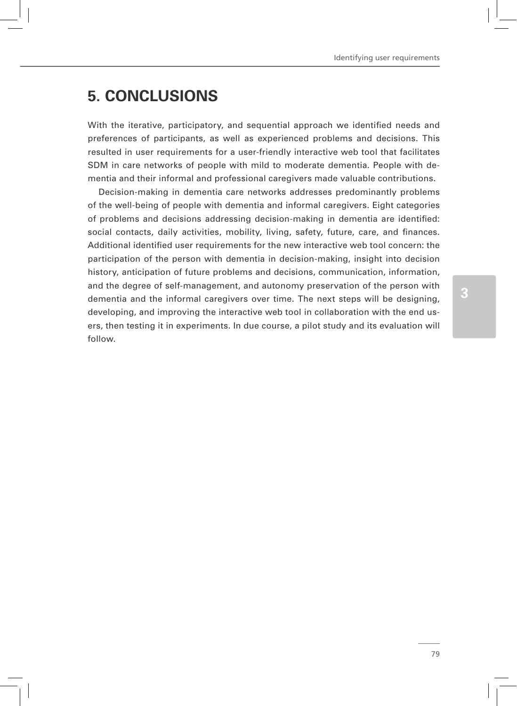# **5. CONCLUSIONS**

With the iterative, participatory, and sequential approach we identified needs and preferences of participants, as well as experienced problems and decisions. This resulted in user requirements for a user-friendly interactive web tool that facilitates SDM in care networks of people with mild to moderate dementia. People with dementia and their informal and professional caregivers made valuable contributions.

Decision-making in dementia care networks addresses predominantly problems of the well-being of people with dementia and informal caregivers. Eight categories of problems and decisions addressing decision-making in dementia are identified: social contacts, daily activities, mobility, living, safety, future, care, and finances. Additional identified user requirements for the new interactive web tool concern: the participation of the person with dementia in decision-making, insight into decision history, anticipation of future problems and decisions, communication, information, and the degree of self-management, and autonomy preservation of the person with dementia and the informal caregivers over time. The next steps will be designing, developing, and improving the interactive web tool in collaboration with the end users, then testing it in experiments. In due course, a pilot study and its evaluation will follow.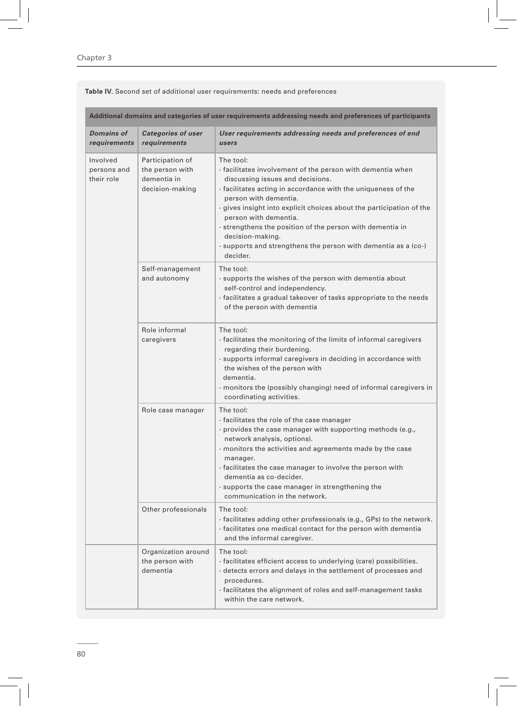#### **Table IV.** Second set of additional user requirements: needs and preferences

| Additional domains and categories of user requirements addressing needs and preferences of participants |                                                                       |                                                                                                                                                                                                                                                                                                                                                                                                                                                                       |  |  |  |
|---------------------------------------------------------------------------------------------------------|-----------------------------------------------------------------------|-----------------------------------------------------------------------------------------------------------------------------------------------------------------------------------------------------------------------------------------------------------------------------------------------------------------------------------------------------------------------------------------------------------------------------------------------------------------------|--|--|--|
| <b>Domains of</b><br>requirements                                                                       | <b>Categories of user</b><br>requirements                             | User requirements addressing needs and preferences of end<br>users                                                                                                                                                                                                                                                                                                                                                                                                    |  |  |  |
| Involved<br>persons and<br>their role                                                                   | Participation of<br>the person with<br>dementia in<br>decision-making | The tool:<br>- facilitates involvement of the person with dementia when<br>discussing issues and decisions.<br>- facilitates acting in accordance with the uniqueness of the<br>person with dementia.<br>- gives insight into explicit choices about the participation of the<br>person with dementia.<br>- strengthens the position of the person with dementia in<br>decision-making.<br>- supports and strengthens the person with dementia as a (co-)<br>decider. |  |  |  |
|                                                                                                         | Self-management<br>and autonomy                                       | The tool:<br>- supports the wishes of the person with dementia about<br>self-control and independency.<br>- facilitates a gradual takeover of tasks appropriate to the needs<br>of the person with dementia                                                                                                                                                                                                                                                           |  |  |  |
|                                                                                                         | Role informal<br>caregivers                                           | The tool:<br>- facilitates the monitoring of the limits of informal caregivers<br>regarding their burdening.<br>- supports informal caregivers in deciding in accordance with<br>the wishes of the person with<br>dementia.<br>- monitors the (possibly changing) need of informal caregivers in<br>coordinating activities.                                                                                                                                          |  |  |  |
|                                                                                                         | Role case manager                                                     | The tool:<br>- facilitates the role of the case manager<br>- provides the case manager with supporting methods (e.g.,<br>network analysis, options).<br>- monitors the activities and agreements made by the case<br>manager.<br>- facilitates the case manager to involve the person with<br>dementia as co-decider.<br>- supports the case manager in strengthening the<br>communication in the network.                                                            |  |  |  |
|                                                                                                         | Other professionals                                                   | The tool:<br>- facilitates adding other professionals (e.g., GPs) to the network.<br>- facilitates one medical contact for the person with dementia<br>and the informal caregiver.                                                                                                                                                                                                                                                                                    |  |  |  |
|                                                                                                         | Organization around<br>the person with<br>dementia                    | The tool:<br>- facilitates efficient access to underlying (care) possibilities.<br>- detects errors and delays in the settlement of processes and<br>procedures.<br>- facilitates the alignment of roles and self-management tasks<br>within the care network.                                                                                                                                                                                                        |  |  |  |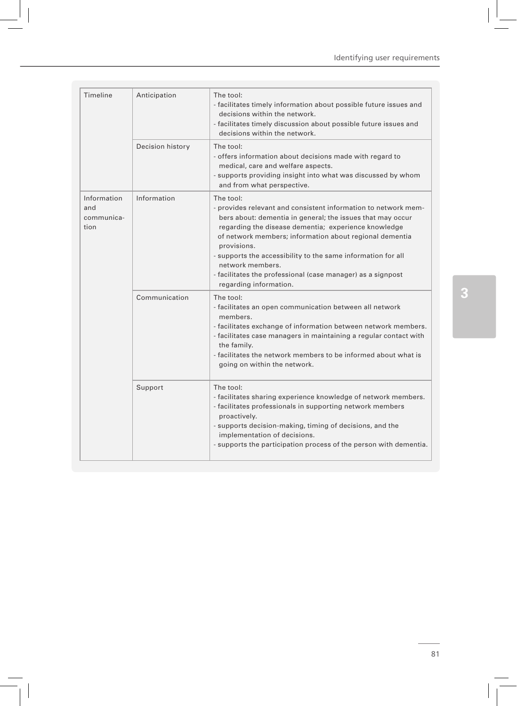| Timeline                                 | Anticipation     | The tool:<br>- facilitates timely information about possible future issues and<br>decisions within the network.<br>- facilitates timely discussion about possible future issues and<br>decisions within the network.                                                                                                                                                                                                                                     |
|------------------------------------------|------------------|----------------------------------------------------------------------------------------------------------------------------------------------------------------------------------------------------------------------------------------------------------------------------------------------------------------------------------------------------------------------------------------------------------------------------------------------------------|
|                                          | Decision history | The tool:<br>- offers information about decisions made with regard to<br>medical, care and welfare aspects.<br>- supports providing insight into what was discussed by whom<br>and from what perspective.                                                                                                                                                                                                                                                |
| Information<br>and<br>communica-<br>tion | Information      | The tool:<br>- provides relevant and consistent information to network mem-<br>bers about: dementia in general; the issues that may occur<br>regarding the disease dementia; experience knowledge<br>of network members; information about regional dementia<br>provisions.<br>- supports the accessibility to the same information for all<br>network members.<br>- facilitates the professional (case manager) as a signpost<br>regarding information. |
|                                          | Communication    | The tool:<br>- facilitates an open communication between all network<br>members.<br>- facilitates exchange of information between network members.<br>- facilitates case managers in maintaining a regular contact with<br>the family.<br>- facilitates the network members to be informed about what is<br>going on within the network.                                                                                                                 |
|                                          | Support          | The tool:<br>- facilitates sharing experience knowledge of network members.<br>- facilitates professionals in supporting network members<br>proactively.<br>- supports decision-making, timing of decisions, and the<br>implementation of decisions.<br>- supports the participation process of the person with dementia.                                                                                                                                |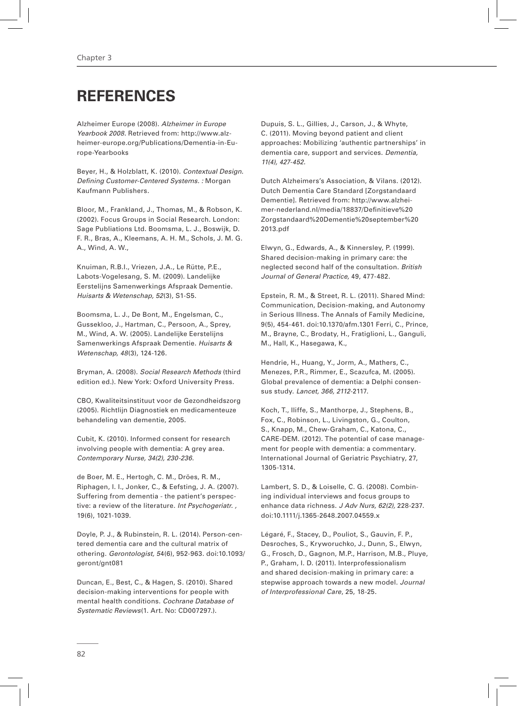# **REFERENCES**

Alzheimer Europe (2008). *Alzheimer in Europe Yearbook 2008.* Retrieved from: http://www.alzheimer-europe.org/Publications/Dementia-in-Europe-Yearbooks

Beyer, H., & Holzblatt, K. (2010). *Contextual Design. Defining Customer-Centered Systems. :* Morgan Kaufmann Publishers.

Bloor, M., Frankland, J., Thomas, M., & Robson, K. (2002). Focus Groups in Social Research. London: Sage Publiations Ltd. Boomsma, L. J., Boswijk, D. F. R., Bras, A., Kleemans, A. H. M., Schols, J. M. G. A., Wind, A. W.,

Knuiman, R.B.I., Vriezen, J.A., Le Rütte, P.E., Labots-Vogelesang, S. M. (2009). Landelijke Eerstelijns Samenwerkings Afspraak Dementie. *Huisarts & Wetenschap, 52*(3), S1-S5.

Boomsma, L. J., De Bont, M., Engelsman, C., Gussekloo, J., Hartman, C., Persoon, A., Sprey, M., Wind, A. W. (2005). Landelijke Eerstelijns Samenwerkings Afspraak Dementie. *Huisarts & Wetenschap, 48*(3), 124-126.

Bryman, A. (2008). *Social Research Methods* (third edition ed.). New York: Oxford University Press.

CBO, Kwaliteitsinstituut voor de Gezondheidszorg (2005). Richtlijn Diagnostiek en medicamenteuze behandeling van dementie, 2005.

Cubit, K. (2010). Informed consent for research involving people with dementia: A grey area. *Contemporary Nurse, 34(2), 230-236.* 

de Boer, M. E., Hertogh, C. M., Dröes, R. M., Riphagen, I. I., Jonker, C., & Eefsting, J. A. (2007). Suffering from dementia - the patient's perspective: a review of the literature. *Int Psychogeriatr. ,*  19(6), 1021-1039.

Doyle, P. J., & Rubinstein, R. L. (2014). Person-centered dementia care and the cultural matrix of othering. *Gerontologist, 5*4(6), 952-963. doi:10.1093/ geront/gnt081

Duncan, E., Best, C., & Hagen, S. (2010). Shared decision-making interventions for people with mental health conditions. *Cochrane Database of Systematic Reviews*(1. Art. No: CD007297.).

Dupuis, S. L., Gillies, J., Carson, J., & Whyte, C. (2011). Moving beyond patient and client approaches: Mobilizing 'authentic partnerships' in dementia care, support and services. *Dementia, 11(4), 427-452.* 

Dutch Alzheimers's Association, & Vilans. (2012). Dutch Dementia Care Standard [Zorgstandaard Dementie]. Retrieved from: http://www.alzheimer-nederland.nl/media/18837/Definitieve%20 Zorgstandaard%20Dementie%20september%20 2013.pdf

Elwyn, G., Edwards, A., & Kinnersley, P. (1999). Shared decision-making in primary care: the neglected second half of the consultation. *British Journal of General Practice,* 49, 477-482.

Epstein, R. M., & Street, R. L. (2011). Shared Mind: Communication, Decision-making, and Autonomy in Serious Illness. The Annals of Family Medicine, 9(5), 454-461. doi:10.1370/afm.1301 Ferri, C., Prince, M., Brayne, C., Brodaty, H., Fratiglioni, L., Ganguli, M., Hall, K., Hasegawa, K.,

Hendrie, H., Huang, Y., Jorm, A., Mathers, C., Menezes, P.R., Rimmer, E., Scazufca, M. (2005). Global prevalence of dementia: a Delphi consensus study. *Lancet, 366, 2112-*2117.

Koch, T., Iliffe, S., Manthorpe, J., Stephens, B., Fox, C., Robinson, L., Livingston, G., Coulton, S., Knapp, M., Chew-Graham, C., Katona, C., CARE-DEM. (2012). The potential of case management for people with dementia: a commentary. International Journal of Geriatric Psychiatry, 27, 1305-1314.

Lambert, S. D., & Loiselle, C. G. (2008). Combining individual interviews and focus groups to enhance data richness. *J Adv Nurs, 62(2),* 228-237. doi:10.1111/j.1365-2648.2007.04559.x

Légaré, F., Stacey, D., Pouliot, S., Gauvin, F. P., Desroches, S., Kryworuchko, J., Dunn, S., Elwyn, G., Frosch, D., Gagnon, M.P., Harrison, M.B., Pluye, P., Graham, I. D. (2011). Interprofessionalism and shared decision-making in primary care: a stepwise approach towards a new model. *Journal of Interprofessional Care*, 25, 18-25.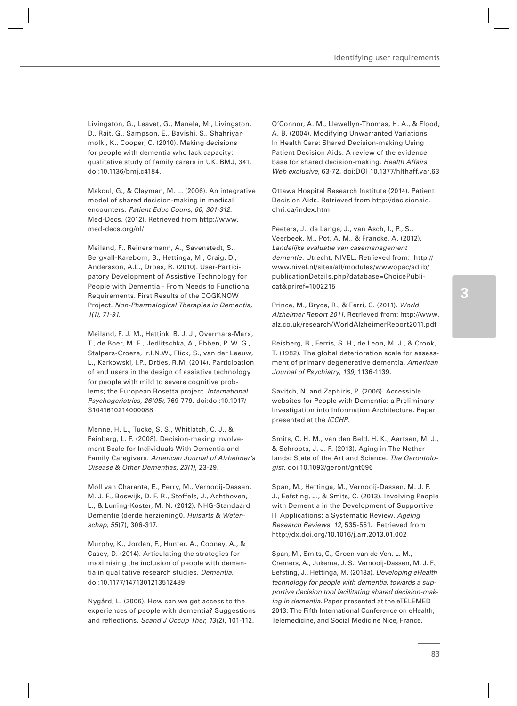Livingston, G., Leavet, G., Manela, M., Livingston, D., Rait, G., Sampson, E., Bavishi, S., Shahriyarmolki, K., Cooper, C. (2010). Making decisions for people with dementia who lack capacity: qualitative study of family carers in UK. BMJ, 341. doi:10.1136/bmj.c4184.

Makoul, G., & Clayman, M. L. (2006). An integrative model of shared decision-making in medical encounters. *Patient Educ Couns, 60, 301-312.*  Med-Decs. (2012). Retrieved from http://www. med-decs.org/nl/

Meiland, F., Reinersmann, A., Savenstedt, S., Bergvall-Kareborn, B., Hettinga, M., Craig, D., Andersson, A.L., Droes, R. (2010). User-Participatory Development of Assistive Technology for People with Dementia - From Needs to Functional Requirements. First Results of the COGKNOW Project. *Non-Pharmalogical Therapies in Dementia, 1(1), 71-91.* 

Meiland, F. J. M., Hattink, B. J. J., Overmars-Marx, T., de Boer, M. E., Jedlitschka, A., Ebben, P. W. G., Stalpers-Croeze, Ir.I.N.W., Flick, S., van der Leeuw, L., Karkowski, I.P., Dröes, R.M. (2014). Participation of end users in the design of assistive technology for people with mild to severe cognitive problems; the European Rosetta project. *International Psychogeriatrics, 26(05),* 769-779. doi:doi:10.1017/ S1041610214000088

Menne, H. L., Tucke, S. S., Whitlatch, C. J., & Feinberg, L. F. (2008). Decision-making Involvement Scale for Individuals With Dementia and Family Caregivers. *American Journal of Alzheimer's Disease & Other Dementias, 23(1)*, 23-29.

Moll van Charante, E., Perry, M., Vernooij-Dassen, M. J. F., Boswijk, D. F. R., Stoffels, J., Achthoven, L., & Luning-Koster, M. N. (2012). NHG-Standaard Dementie (derde herziening0. *Huisarts & Wetenschap, 55*(7), 306-317.

Murphy, K., Jordan, F., Hunter, A., Cooney, A., & Casey, D. (2014). Articulating the strategies for maximising the inclusion of people with dementia in qualitative research studies. *Dementia.*  doi:10.1177/1471301213512489

Nygård, L. (2006). How can we get access to the experiences of people with dementia? Suggestions and reflections. *Scand J Occup Ther, 13(*2), 101-112.

O'Connor, A. M., Llewellyn-Thomas, H. A., & Flood, A. B. (2004). Modifying Unwarranted Variations In Health Care: Shared Decision-making Using Patient Decision Aids. A review of the evidence base for shared decision-making. *Health Affairs Web exclusive,* 63-72. doi:DOI 10.1377/hlthaff.var.63

Ottawa Hospital Research Institute (2014). Patient Decision Aids. Retrieved from http://decisionaid. ohri.ca/index.html

Peeters, J., de Lange, J., van Asch, I., P., S., Veerbeek, M., Pot, A. M., & Francke, A. (2012). *Landelijke evaluatie van casemanagement dementie*. Utrecht, NIVEL. Retrieved from: http:// www.nivel.nl/sites/all/modules/wwwopac/adlib/ publicationDetails.php?database=ChoicePublicat&priref=1002215

Prince, M., Bryce, R., & Ferri, C. (2011). *World Alzheimer Report 2011.* Retrieved from: http://www. alz.co.uk/research/WorldAlzheimerReport2011.pdf

Reisberg, B., Ferris, S. H., de Leon, M. J., & Crook, T. (1982). The global deterioration scale for assessment of primary degenerative dementia. *American Journal of Psychiatry, 139,* 1136-1139.

Savitch, N. and Zaphiris, P. (2006). Accessible websites for People with Dementia: a Preliminary Investigation into Information Architecture. Paper presented at the *ICCHP.*

Smits, C. H. M., van den Beld, H. K., Aartsen, M. J., & Schroots, J. J. F. (2013). Aging in The Netherlands: State of the Art and Science. *The Gerontologist*. doi:10.1093/geront/gnt096

Span, M., Hettinga, M., Vernooij-Dassen, M. J. F. J., Eefsting, J., & Smits, C. (2013). Involving People with Dementia in the Development of Supportive IT Applications: a Systematic Review. *Ageing Research Reviews 12,* 535-551. Retrieved from http://dx.doi.org/10.1016/j.arr.2013.01.002

Span, M., Smits, C., Groen-van de Ven, L. M., Cremers, A., Jukema, J. S., Vernooij-Dassen, M. J. F., Eefsting, J., Hettinga, M. (2013a). *Developing eHealth technology for people with dementia: towards a supportive decision tool facilitating shared decision-making in dementia.* Paper presented at the eTELEMED 2013: The Fifth International Conference on eHealth, Telemedicine, and Social Medicine Nice, France.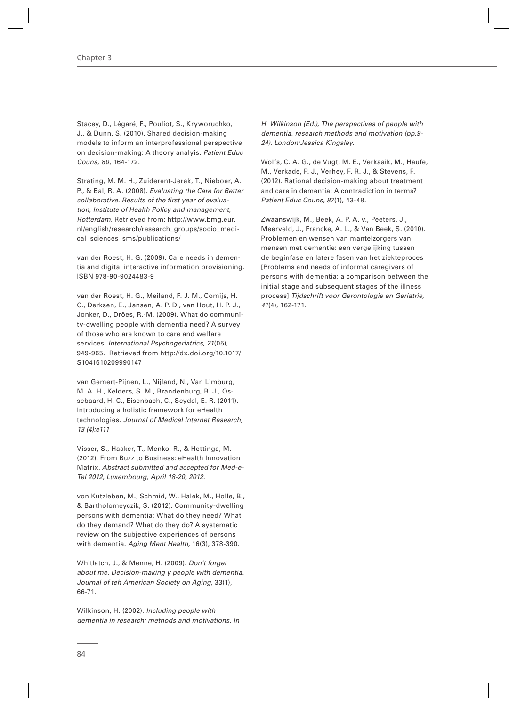Stacey, D., Légaré, F., Pouliot, S., Kryworuchko, J., & Dunn, S. (2010). Shared decision-making models to inform an interprofessional perspective on decision-making: A theory analyis. *Patient Educ Couns*, *80*, 164-172.

Strating, M. M. H., Zuiderent-Jerak, T., Nieboer, A. P., & Bal, R. A. (2008). *Evaluating the Care for Better collaborative. Results of the first year of evaluation, Institute of Health Policy and management, Rotterdam.* Retrieved from: http://www.bmg.eur. nl/english/research/research\_groups/socio\_medical sciences sms/publications/

van der Roest, H. G. (2009). Care needs in dementia and digital interactive information provisioning. ISBN 978-90-9024483-9

van der Roest, H. G., Meiland, F. J. M., Comijs, H. C., Derksen, E., Jansen, A. P. D., van Hout, H. P. J., Jonker, D., Dröes, R.-M. (2009). What do community-dwelling people with dementia need? A survey of those who are known to care and welfare services. *International Psychogeriatrics, 21*(05), 949-965. Retrieved from http://dx.doi.org/10.1017/ S1041610209990147

van Gemert-Pijnen, L., Nijland, N., Van Limburg, M. A. H., Kelders, S. M., Brandenburg, B. J., Ossebaard, H. C., Eisenbach, C., Seydel, E. R. (2011). Introducing a holistic framework for eHealth technologies. *Journal of Medical Internet Research, 13 (4):e111*

Visser, S., Haaker, T., Menko, R., & Hettinga, M. (2012). From Buzz to Business: eHealth Innovation Matrix*. Abstract submitted and accepted for Med-e-Tel 2012, Luxembourg, April 18-20, 2012.* 

von Kutzleben, M., Schmid, W., Halek, M., Holle, B., & Bartholomeyczik, S. (2012). Community-dwelling persons with dementia: What do they need? What do they demand? What do they do? A systematic review on the subjective experiences of persons with dementia. *Aging Ment Health,* 16(3), 378-390.

Whitlatch, J., & Menne, H. (2009). *Don't forget about me. Decision-making y people with dementia. Journal of teh American Society on Aging,* 33(1), 66-71.

Wilkinson, H. (2002). *Including people with dementia in research: methods and motivations. In*  *H. Wilkinson (Ed.), The perspectives of people with dementia, research methods and motivation (pp.9- 24). London:Jessica Kingsley*.

Wolfs, C. A. G., de Vugt, M. E., Verkaaik, M., Haufe, M., Verkade, P. J., Verhey, F. R. J., & Stevens, F. (2012). Rational decision-making about treatment and care in dementia: A contradiction in terms? *Patient Educ Couns, 87*(1), 43-48.

Zwaanswijk, M., Beek, A. P. A. v., Peeters, J., Meerveld, J., Francke, A. L., & Van Beek, S. (2010). Problemen en wensen van mantelzorgers van mensen met dementie: een vergelijking tussen de beginfase en latere fasen van het ziekteproces [Problems and needs of informal caregivers of persons with dementia: a comparison between the initial stage and subsequent stages of the illness process] *Tijdschrift voor Gerontologie en Geriatrie, 41*(4), 162-171.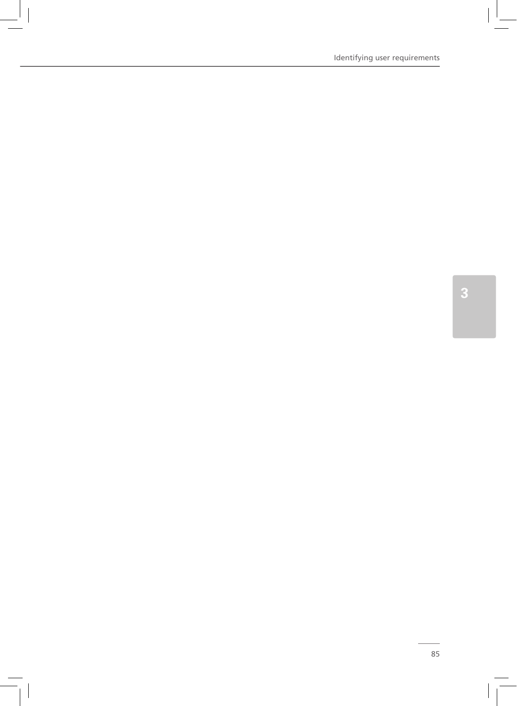Identifying user requirements